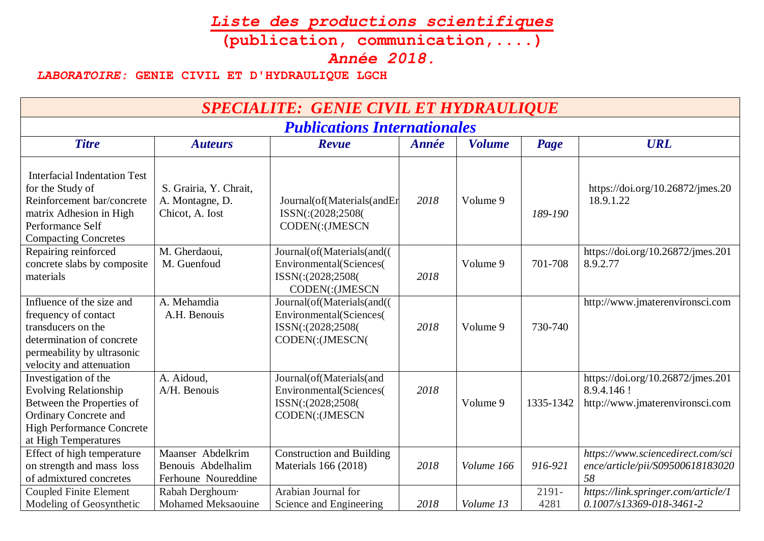## *Liste des productions scientifiques*

**(publication, communication,....)**

*Année 2018.*

## *LABORATOIRE:* **GENIE CIVIL ET D'HYDRAULIQUE LGCH**

| <b>SPECIALITE: GENIE CIVIL ET HYDRAULIQUE</b>                                                                                                                                 |                                                                |                                                                                                       |              |               |               |                                                                                     |  |
|-------------------------------------------------------------------------------------------------------------------------------------------------------------------------------|----------------------------------------------------------------|-------------------------------------------------------------------------------------------------------|--------------|---------------|---------------|-------------------------------------------------------------------------------------|--|
| <b>Publications Internationales</b>                                                                                                                                           |                                                                |                                                                                                       |              |               |               |                                                                                     |  |
| <b>Titre</b>                                                                                                                                                                  | <b>Auteurs</b>                                                 | Revue                                                                                                 | <b>Année</b> | <b>Volume</b> | Page          | <b>URL</b>                                                                          |  |
| <b>Interfacial Indentation Test</b><br>for the Study of<br>Reinforcement bar/concrete<br>matrix Adhesion in High<br>Performance Self<br><b>Compacting Concretes</b>           | S. Grairia, Y. Chrait,<br>A. Montagne, D.<br>Chicot, A. Iost   | Journal(of(Materials(andEr<br>ISSN(:(2028;2508(<br>CODEN(:(JMESCN                                     | 2018         | Volume 9      | 189-190       | https://doi.org/10.26872/jmes.20<br>18.9.1.22                                       |  |
| Repairing reinforced<br>concrete slabs by composite<br>materials                                                                                                              | M. Gherdaoui,<br>M. Guenfoud                                   | Journal(of(Materials(and()<br><b>Environmental</b> (Sciences)<br>ISSN(:(2028;2508(<br>CODEN(:(JMESCN  | 2018         | Volume 9      | 701-708       | https://doi.org/10.26872/jmes.201<br>8.9.2.77                                       |  |
| Influence of the size and<br>frequency of contact<br>transducers on the<br>determination of concrete<br>permeability by ultrasonic<br>velocity and attenuation                | A. Mehamdia<br>A.H. Benouis                                    | Journal(of(Materials(and()<br><b>Environmental</b> (Sciences(<br>ISSN(:(2028;2508(<br>CODEN(:(JMESCN( | 2018         | Volume 9      | 730-740       | http://www.jmaterenvironsci.com                                                     |  |
| Investigation of the<br><b>Evolving Relationship</b><br>Between the Properties of<br><b>Ordinary Concrete and</b><br><b>High Performance Concrete</b><br>at High Temperatures | A. Aidoud,<br>A/H. Benouis                                     | Journal(of(Materials(and<br><b>Environmental</b> (Sciences(<br>ISSN(:(2028;2508(<br>CODEN(:(JMESCN    | 2018         | Volume 9      | 1335-1342     | https://doi.org/10.26872/jmes.201<br>8.9.4.146 !<br>http://www.jmaterenvironsci.com |  |
| Effect of high temperature<br>on strength and mass loss<br>of admixtured concretes                                                                                            | Maanser Abdelkrim<br>Benouis Abdelhalim<br>Ferhoune Noureddine | <b>Construction and Building</b><br>Materials 166 (2018)                                              | 2018         | Volume 166    | 916-921       | https://www.sciencedirect.com/sci<br>ence/article/pii/S09500618183020<br>58         |  |
| <b>Coupled Finite Element</b><br>Modeling of Geosynthetic                                                                                                                     | Rabah Derghoum·<br><b>Mohamed Meksaouine</b>                   | Arabian Journal for<br>Science and Engineering                                                        | 2018         | Volume 13     | 2191-<br>4281 | https://link.springer.com/article/1<br>$0.1007$ /s $13369 - 018 - 3461 - 2$         |  |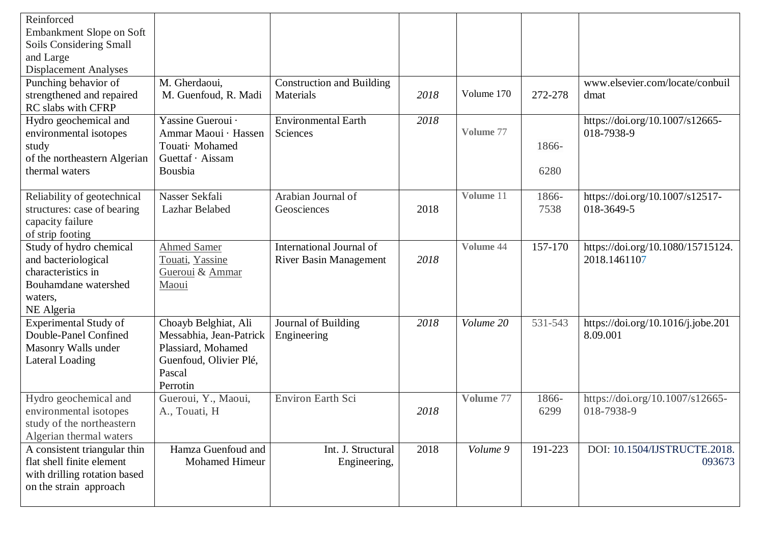| Reinforced                   |                         |                                  |      |            |         |                                    |
|------------------------------|-------------------------|----------------------------------|------|------------|---------|------------------------------------|
| Embankment Slope on Soft     |                         |                                  |      |            |         |                                    |
| Soils Considering Small      |                         |                                  |      |            |         |                                    |
| and Large                    |                         |                                  |      |            |         |                                    |
| <b>Displacement Analyses</b> |                         |                                  |      |            |         |                                    |
| Punching behavior of         | M. Gherdaoui,           | <b>Construction and Building</b> |      |            |         | www.elsevier.com/locate/conbuil    |
| strengthened and repaired    | M. Guenfoud, R. Madi    | Materials                        | 2018 | Volume 170 | 272-278 | dmat                               |
| RC slabs with CFRP           |                         |                                  |      |            |         |                                    |
| Hydro geochemical and        | Yassine Gueroui ·       | <b>Environmental Earth</b>       | 2018 |            |         | https://doi.org/10.1007/s12665-    |
| environmental isotopes       | Ammar Maoui · Hassen    | Sciences                         |      | Volume 77  |         | 018-7938-9                         |
| study                        | Touati Mohamed          |                                  |      |            | 1866-   |                                    |
| of the northeastern Algerian | Guettaf · Aissam        |                                  |      |            |         |                                    |
| thermal waters               | Bousbia                 |                                  |      |            | 6280    |                                    |
|                              |                         |                                  |      |            |         |                                    |
| Reliability of geotechnical  | Nasser Sekfali          | Arabian Journal of               |      | Volume 11  | 1866-   | https://doi.org/10.1007/s12517-    |
| structures: case of bearing  | Lazhar Belabed          | Geosciences                      | 2018 |            | 7538    | 018-3649-5                         |
| capacity failure             |                         |                                  |      |            |         |                                    |
| of strip footing             |                         |                                  |      |            |         |                                    |
| Study of hydro chemical      | <b>Ahmed Samer</b>      | International Journal of         |      | Volume 44  | 157-170 | https://doi.org/10.1080/15715124.  |
| and bacteriological          | Touati, Yassine         | <b>River Basin Management</b>    | 2018 |            |         | 2018.1461107                       |
| characteristics in           | Gueroui & Ammar         |                                  |      |            |         |                                    |
| Bouhamdane watershed         | Maoui                   |                                  |      |            |         |                                    |
| waters,                      |                         |                                  |      |            |         |                                    |
| NE Algeria                   |                         |                                  |      |            |         |                                    |
| Experimental Study of        | Choayb Belghiat, Ali    | Journal of Building              | 2018 | Volume 20  | 531-543 | https://doi.org/10.1016/j.jobe.201 |
| Double-Panel Confined        | Messabhia, Jean-Patrick | Engineering                      |      |            |         | 8.09.001                           |
| Masonry Walls under          | Plassiard, Mohamed      |                                  |      |            |         |                                    |
| <b>Lateral Loading</b>       | Guenfoud, Olivier Plé,  |                                  |      |            |         |                                    |
|                              | Pascal                  |                                  |      |            |         |                                    |
|                              | Perrotin                |                                  |      |            |         |                                    |
| Hydro geochemical and        | Gueroui, Y., Maoui,     | Environ Earth Sci                |      | Volume 77  | 1866-   | https://doi.org/10.1007/s12665-    |
| environmental isotopes       | A., Touati, H           |                                  | 2018 |            | 6299    | 018-7938-9                         |
| study of the northeastern    |                         |                                  |      |            |         |                                    |
| Algerian thermal waters      |                         |                                  |      |            |         |                                    |
| A consistent triangular thin | Hamza Guenfoud and      | Int. J. Structural               | 2018 | Volume 9   | 191-223 | DOI: 10.1504/IJSTRUCTE.2018.       |
| flat shell finite element    | <b>Mohamed Himeur</b>   | Engineering,                     |      |            |         | 093673                             |
| with drilling rotation based |                         |                                  |      |            |         |                                    |
| on the strain approach       |                         |                                  |      |            |         |                                    |
|                              |                         |                                  |      |            |         |                                    |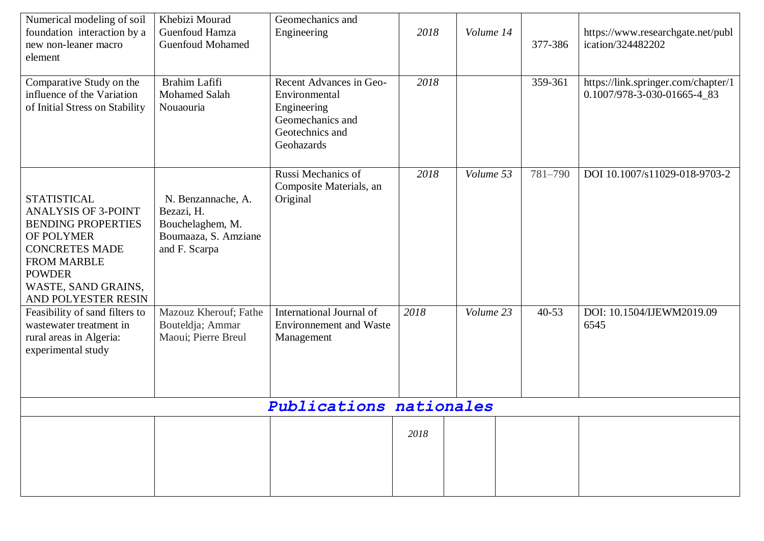| Numerical modeling of soil<br>foundation interaction by a<br>new non-leaner macro<br>element                                                                                                              | Khebizi Mourad<br>Guenfoud Hamza<br><b>Guenfoud Mohamed</b>                                   | Geomechanics and<br>Engineering                                                                              | 2018 | Volume 14 | 377-386   | https://www.researchgate.net/publ<br>ication/324482202             |
|-----------------------------------------------------------------------------------------------------------------------------------------------------------------------------------------------------------|-----------------------------------------------------------------------------------------------|--------------------------------------------------------------------------------------------------------------|------|-----------|-----------|--------------------------------------------------------------------|
| Comparative Study on the<br>influence of the Variation<br>of Initial Stress on Stability                                                                                                                  | Brahim Lafifi<br><b>Mohamed Salah</b><br>Nouaouria                                            | Recent Advances in Geo-<br>Environmental<br>Engineering<br>Geomechanics and<br>Geotechnics and<br>Geohazards | 2018 |           | 359-361   | https://link.springer.com/chapter/1<br>0.1007/978-3-030-01665-4_83 |
| <b>STATISTICAL</b><br><b>ANALYSIS OF 3-POINT</b><br><b>BENDING PROPERTIES</b><br>OF POLYMER<br><b>CONCRETES MADE</b><br><b>FROM MARBLE</b><br><b>POWDER</b><br>WASTE, SAND GRAINS,<br>AND POLYESTER RESIN | N. Benzannache, A.<br>Bezazi, H.<br>Bouchelaghem, M.<br>Boumaaza, S. Amziane<br>and F. Scarpa | Russi Mechanics of<br>Composite Materials, an<br>Original                                                    | 2018 | Volume 53 | 781-790   | DOI 10.1007/s11029-018-9703-2                                      |
| Feasibility of sand filters to<br>wastewater treatment in<br>rural areas in Algeria:<br>experimental study                                                                                                | Mazouz Kherouf; Fathe<br>Bouteldja; Ammar<br>Maoui; Pierre Breul                              | International Journal of<br><b>Environnement and Waste</b><br>Management                                     | 2018 | Volume 23 | $40 - 53$ | DOI: 10.1504/IJEWM2019.09<br>6545                                  |
|                                                                                                                                                                                                           |                                                                                               | Publications nationales                                                                                      |      |           |           |                                                                    |
|                                                                                                                                                                                                           |                                                                                               |                                                                                                              | 2018 |           |           |                                                                    |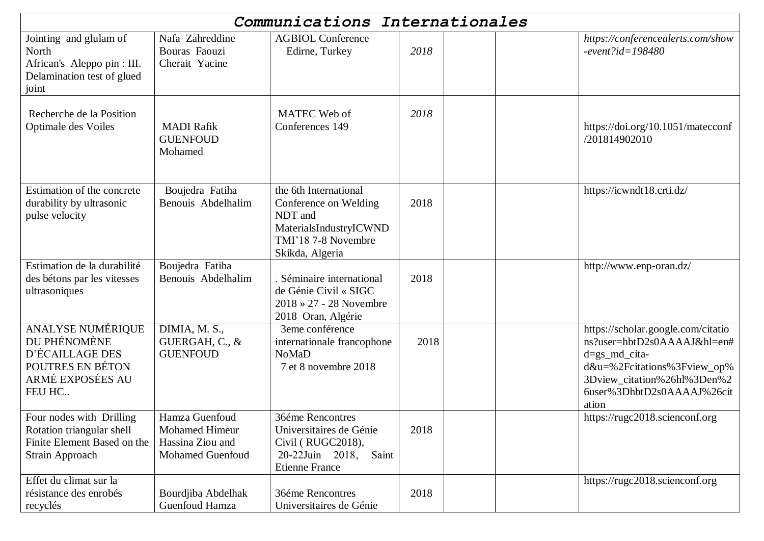|                                                                                                               |                                                                                        | Communications Internationales                                                                                                |      |                                                                                                                                                                                             |
|---------------------------------------------------------------------------------------------------------------|----------------------------------------------------------------------------------------|-------------------------------------------------------------------------------------------------------------------------------|------|---------------------------------------------------------------------------------------------------------------------------------------------------------------------------------------------|
| Jointing and glulam of<br>North<br>African's Aleppo pin : III.<br>Delamination test of glued<br>joint         | Nafa Zahreddine<br>Bouras Faouzi<br>Cherait Yacine                                     | <b>AGBIOL Conference</b><br>Edirne, Turkey                                                                                    | 2018 | https://conferencealerts.com/show<br>$-event$ ?id=198480                                                                                                                                    |
| Recherche de la Position<br>Optimale des Voiles                                                               | <b>MADI</b> Rafik<br><b>GUENFOUD</b><br>Mohamed                                        | MATEC Web of<br>Conferences 149                                                                                               | 2018 | https://doi.org/10.1051/matecconf<br>/201814902010                                                                                                                                          |
| Estimation of the concrete<br>durability by ultrasonic<br>pulse velocity                                      | Boujedra Fatiha<br>Benouis Abdelhalim                                                  | the 6th International<br>Conference on Welding<br>NDT and<br>MaterialsIndustryICWND<br>TMI'18 7-8 Novembre<br>Skikda, Algeria | 2018 | https://icwndt18.crti.dz/                                                                                                                                                                   |
| Estimation de la durabilité<br>des bétons par les vitesses<br>ultrasoniques                                   | Boujedra Fatiha<br>Benouis Abdelhalim                                                  | . Séminaire international<br>de Génie Civil « SIGC<br>$2018 \times 27 - 28$ Novembre<br>2018 Oran, Algérie                    | 2018 | http://www.enp-oran.dz/                                                                                                                                                                     |
| <b>ANALYSE NUMÉRIQUE</b><br>DU PHÉNOMÈNE<br>D'ÉCAILLAGE DES<br>POUTRES EN BÉTON<br>ARMÉ EXPOSÉES AU<br>FEU HC | DIMIA, M. S.,<br>GUERGAH, C., &<br><b>GUENFOUD</b>                                     | 3eme conférence<br>internationale francophone<br><b>NoMaD</b><br>7 et 8 novembre 2018                                         | 2018 | https://scholar.google.com/citatio<br>ns?user=hbtD2s0AAAAJ&hl=en#<br>$d=gs\_md\_cita-$<br>d&u=%2Fcitations%3Fview_op%<br>3Dview_citation%26hl%3Den%2<br>6user%3DhbtD2s0AAAAJ%26cit<br>ation |
| Four nodes with Drilling<br>Rotation triangular shell<br>Finite Element Based on the<br>Strain Approach       | Hamza Guenfoud<br><b>Mohamed Himeur</b><br>Hassina Ziou and<br><b>Mohamed Guenfoud</b> | 36éme Rencontres<br>Universitaires de Génie<br>Civil (RUGC2018),<br>20-22Juin 2018,<br>Saint<br><b>Etienne France</b>         | 2018 | https://rugc2018.scienconf.org                                                                                                                                                              |
| Effet du climat sur la<br>résistance des enrobés<br>recyclés                                                  | Bourdjiba Abdelhak<br>Guenfoud Hamza                                                   | 36éme Rencontres<br>Universitaires de Génie                                                                                   | 2018 | https://rugc2018.scienconf.org                                                                                                                                                              |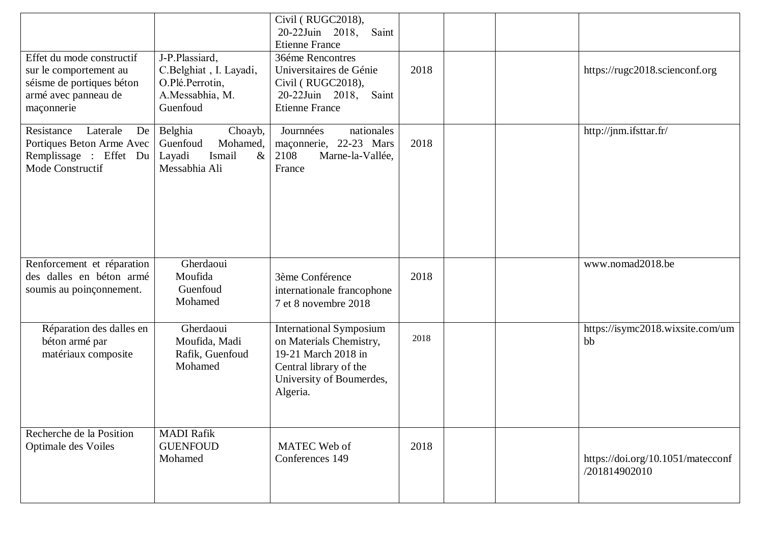|                                                                                                         |                                                                                         | Civil (RUGC2018),<br>20-22Juin 2018,<br>Saint                                                                                                      |      |  |                                                    |
|---------------------------------------------------------------------------------------------------------|-----------------------------------------------------------------------------------------|----------------------------------------------------------------------------------------------------------------------------------------------------|------|--|----------------------------------------------------|
| Effet du mode constructif                                                                               | J-P.Plassiard,                                                                          | <b>Etienne France</b><br>36éme Rencontres                                                                                                          |      |  |                                                    |
| sur le comportement au                                                                                  | C.Belghiat, I. Layadi,                                                                  | Universitaires de Génie                                                                                                                            | 2018 |  | https://rugc2018.scienconf.org                     |
| séisme de portiques béton<br>armé avec panneau de                                                       | O.Plé.Perrotin,<br>A.Messabhia, M.                                                      | Civil (RUGC2018),<br>20-22Juin 2018,<br>Saint                                                                                                      |      |  |                                                    |
| maçonnerie                                                                                              | Guenfoud                                                                                | <b>Etienne France</b>                                                                                                                              |      |  |                                                    |
| Resistance<br>Laterale<br>De<br>Portiques Beton Arme Avec<br>Remplissage : Effet Du<br>Mode Constructif | Belghia<br>Choayb,<br>Mohamed,<br>Guenfoud<br>$\&$<br>Layadi<br>Ismail<br>Messabhia Ali | nationales<br>Journnées<br>maçonnerie, 22-23 Mars<br>2108<br>Marne-la-Vallée,<br>France                                                            | 2018 |  | http://jnm.ifsttar.fr/                             |
|                                                                                                         |                                                                                         |                                                                                                                                                    |      |  |                                                    |
| Renforcement et réparation<br>des dalles en béton armé                                                  | Gherdaoui<br>Moufida                                                                    | 3ème Conférence                                                                                                                                    | 2018 |  | www.nomad2018.be                                   |
| soumis au poinçonnement.                                                                                | Guenfoud<br>Mohamed                                                                     | internationale francophone<br>7 et 8 novembre 2018                                                                                                 |      |  |                                                    |
| Réparation des dalles en<br>béton armé par<br>matériaux composite                                       | Gherdaoui<br>Moufida, Madi<br>Rafik, Guenfoud<br>Mohamed                                | <b>International Symposium</b><br>on Materials Chemistry,<br>19-21 March 2018 in<br>Central library of the<br>University of Boumerdes,<br>Algeria. | 2018 |  | https://isymc2018.wixsite.com/um<br>bb             |
| Recherche de la Position                                                                                | <b>MADI Rafik</b>                                                                       |                                                                                                                                                    |      |  |                                                    |
| Optimale des Voiles                                                                                     | <b>GUENFOUD</b><br>Mohamed                                                              | MATEC Web of<br>Conferences 149                                                                                                                    | 2018 |  | https://doi.org/10.1051/matecconf<br>/201814902010 |
|                                                                                                         |                                                                                         |                                                                                                                                                    |      |  |                                                    |